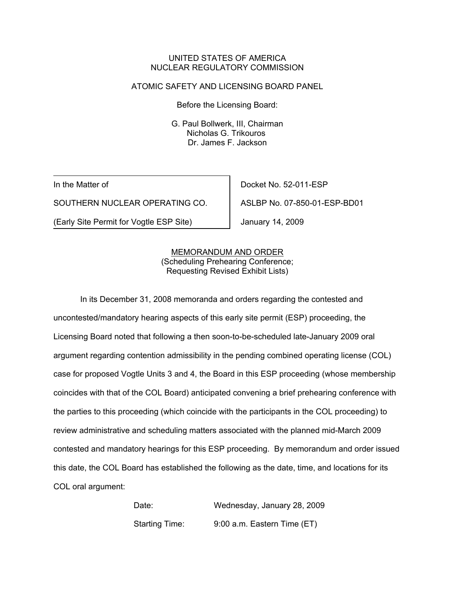## UNITED STATES OF AMERICA NUCLEAR REGULATORY COMMISSION

#### ATOMIC SAFETY AND LICENSING BOARD PANEL

Before the Licensing Board:

G. Paul Bollwerk, III, Chairman Nicholas G. Trikouros Dr. James F. Jackson

In the Matter of

SOUTHERN NUCLEAR OPERATING CO.

(Early Site Permit for Vogtle ESP Site)

Docket No. 52-011-ESP

ASLBP No. 07-850-01-ESP-BD01

January 14, 2009

## MEMORANDUM AND ORDER (Scheduling Prehearing Conference; Requesting Revised Exhibit Lists)

In its December 31, 2008 memoranda and orders regarding the contested and uncontested/mandatory hearing aspects of this early site permit (ESP) proceeding, the Licensing Board noted that following a then soon-to-be-scheduled late-January 2009 oral argument regarding contention admissibility in the pending combined operating license (COL) case for proposed Vogtle Units 3 and 4, the Board in this ESP proceeding (whose membership coincides with that of the COL Board) anticipated convening a brief prehearing conference with the parties to this proceeding (which coincide with the participants in the COL proceeding) to review administrative and scheduling matters associated with the planned mid-March 2009 contested and mandatory hearings for this ESP proceeding. By memorandum and order issued this date, the COL Board has established the following as the date, time, and locations for its COL oral argument:

> Date: Wednesday, January 28, 2009 Starting Time: 9:00 a.m. Eastern Time (ET)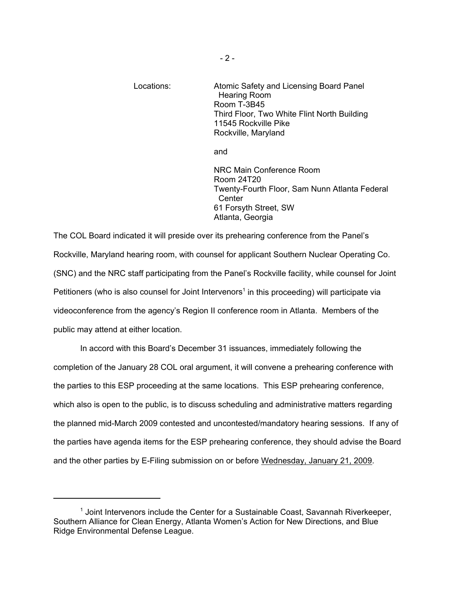Locations: Atomic Safety and Licensing Board Panel Hearing Room Room T-3B45 Third Floor, Two White Flint North Building 11545 Rockville Pike Rockville, Maryland

and

NRC Main Conference Room Room 24T20 Twenty-Fourth Floor, Sam Nunn Atlanta Federal **Center** 61 Forsyth Street, SW Atlanta, Georgia

The COL Board indicated it will preside over its prehearing conference from the Panel's Rockville, Maryland hearing room, with counsel for applicant Southern Nuclear Operating Co. (SNC) and the NRC staff participating from the Panel's Rockville facility, while counsel for Joint Petitioners (who is also counsel for Joint Intervenors<sup>1</sup> in this proceeding) will participate via videoconference from the agency's Region II conference room in Atlanta. Members of the public may attend at either location.

In accord with this Board's December 31 issuances, immediately following the completion of the January 28 COL oral argument, it will convene a prehearing conference with the parties to this ESP proceeding at the same locations. This ESP prehearing conference, which also is open to the public, is to discuss scheduling and administrative matters regarding the planned mid-March 2009 contested and uncontested/mandatory hearing sessions. If any of the parties have agenda items for the ESP prehearing conference, they should advise the Board and the other parties by E-Filing submission on or before Wednesday, January 21, 2009.

<sup>&</sup>lt;sup>1</sup> Joint Intervenors include the Center for a Sustainable Coast, Savannah Riverkeeper, Southern Alliance for Clean Energy, Atlanta Women's Action for New Directions, and Blue Ridge Environmental Defense League.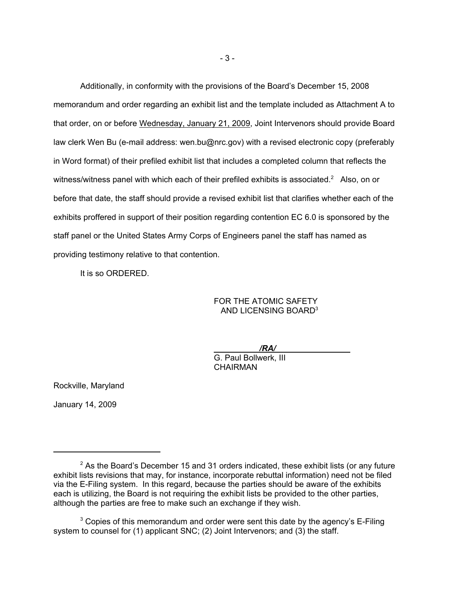Additionally, in conformity with the provisions of the Board's December 15, 2008 memorandum and order regarding an exhibit list and the template included as Attachment A to that order, on or before Wednesday, January 21, 2009, Joint Intervenors should provide Board law clerk Wen Bu (e-mail address: wen.bu@nrc.gov) with a revised electronic copy (preferably in Word format) of their prefiled exhibit list that includes a completed column that reflects the witness/witness panel with which each of their prefiled exhibits is associated.<sup>2</sup> Also, on or before that date, the staff should provide a revised exhibit list that clarifies whether each of the exhibits proffered in support of their position regarding contention EC 6.0 is sponsored by the staff panel or the United States Army Corps of Engineers panel the staff has named as providing testimony relative to that contention.

It is so ORDERED.

FOR THE ATOMIC SAFETY AND LICENSING BOARD3

*/RA/* 

G. Paul Bollwerk, III **CHAIRMAN** 

Rockville, Maryland

January 14, 2009

 $2$  As the Board's December 15 and 31 orders indicated, these exhibit lists (or any future exhibit lists revisions that may, for instance, incorporate rebuttal information) need not be filed via the E-Filing system. In this regard, because the parties should be aware of the exhibits each is utilizing, the Board is not requiring the exhibit lists be provided to the other parties, although the parties are free to make such an exchange if they wish.

 $3$  Copies of this memorandum and order were sent this date by the agency's E-Filing system to counsel for (1) applicant SNC; (2) Joint Intervenors; and (3) the staff.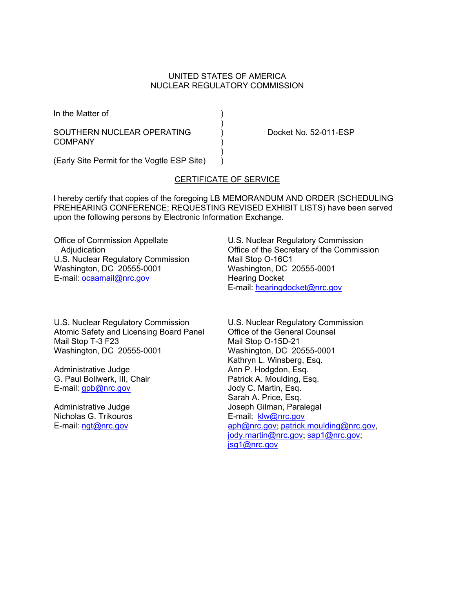#### UNITED STATES OF AMERICA NUCLEAR REGULATORY COMMISSION

In the Matter of (1)

# SOUTHERN NUCLEAR OPERATING (a) Docket No. 52-011-ESP COMPANY )

 $)$ (Early Site Permit for the Vogtle ESP Site) )

 $)$ 

## CERTIFICATE OF SERVICE

I hereby certify that copies of the foregoing LB MEMORANDUM AND ORDER (SCHEDULING PREHEARING CONFERENCE; REQUESTING REVISED EXHIBIT LISTS) have been served upon the following persons by Electronic Information Exchange.

Office of Commission Appellate Adjudication U.S. Nuclear Regulatory Commission Washington, DC 20555-0001 E-mail: ocaamail@nrc.gov

U.S. Nuclear Regulatory Commission Atomic Safety and Licensing Board Panel Mail Stop T-3 F23 Washington, DC 20555-0001

Administrative Judge G. Paul Bollwerk, III, Chair E-mail: gpb@nrc.gov

Administrative Judge Nicholas G. Trikouros E-mail: ngt@nrc.gov

U.S. Nuclear Regulatory Commission Office of the Secretary of the Commission Mail Stop O-16C1 Washington, DC 20555-0001 Hearing Docket E-mail: hearingdocket@nrc.gov

U.S. Nuclear Regulatory Commission Office of the General Counsel Mail Stop O-15D-21 Washington, DC 20555-0001 Kathryn L. Winsberg, Esq. Ann P. Hodgdon, Esq. Patrick A. Moulding, Esq. Jody C. Martin, Esq. Sarah A. Price, Esq. Joseph Gilman, Paralegal E-mail: klw@nrc.gov aph@nrc.gov; patrick.moulding@nrc.gov, jody.martin@nrc.gov; sap1@nrc.gov; jsg1@nrc.gov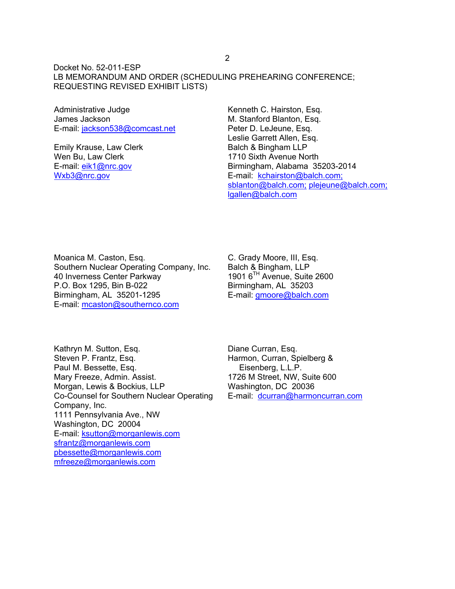Docket No. 52-011-ESP LB MEMORANDUM AND ORDER (SCHEDULING PREHEARING CONFERENCE; REQUESTING REVISED EXHIBIT LISTS)

Administrative Judge James Jackson E-mail: jackson538@comcast.net

Emily Krause, Law Clerk Wen Bu, Law Clerk E-mail: eik1@nrc.gov Wxb3@nrc.gov

Kenneth C. Hairston, Esq. M. Stanford Blanton, Esq. Peter D. LeJeune, Esq. Leslie Garrett Allen, Esq. Balch & Bingham LLP 1710 Sixth Avenue North Birmingham, Alabama 35203-2014 E-mail: kchairston@balch.com; sblanton@balch.com; plejeune@balch.com; lgallen@balch.com

Moanica M. Caston, Esq. Southern Nuclear Operating Company, Inc. 40 Inverness Center Parkway P.O. Box 1295, Bin B-022 Birmingham, AL 35201-1295 E-mail: mcaston@southernco.com

C. Grady Moore, III, Esq. Balch & Bingham, LLP 1901 6TH Avenue, Suite 2600 Birmingham, AL 35203 E-mail: gmoore@balch.com

Kathryn M. Sutton, Esq. Steven P. Frantz, Esq. Paul M. Bessette, Esq. Mary Freeze, Admin. Assist. Morgan, Lewis & Bockius, LLP Co-Counsel for Southern Nuclear Operating Company, Inc. 1111 Pennsylvania Ave., NW Washington, DC 20004 E-mail: ksutton@morganlewis.com sfrantz@morganlewis.com pbessette@morganlewis.com mfreeze@morganlewis.com

Diane Curran, Esq. Harmon, Curran, Spielberg & Eisenberg, L.L.P. 1726 M Street, NW, Suite 600 Washington, DC 20036 E-mail: dcurran@harmoncurran.com